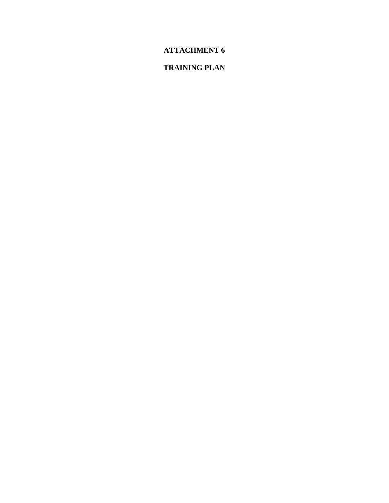# **ATTACHMENT 6**

# **TRAINING PLAN**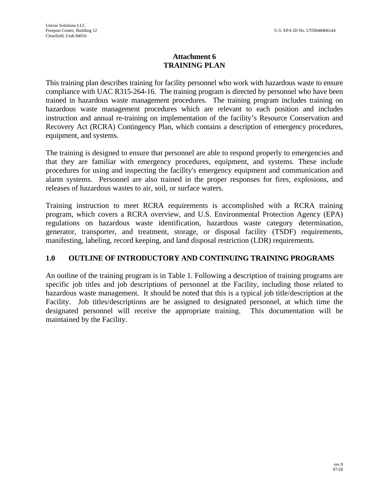### **Attachment 6 TRAINING PLAN**

This training plan describes training for facility personnel who work with hazardous waste to ensure compliance with UAC R315-264-16. The training program is directed by personnel who have been trained in hazardous waste management procedures. The training program includes training on hazardous waste management procedures which are relevant to each position and includes instruction and annual re-training on implementation of the facility's Resource Conservation and Recovery Act (RCRA) Contingency Plan, which contains a description of emergency procedures, equipment, and systems.

The training is designed to ensure that personnel are able to respond properly to emergencies and that they are familiar with emergency procedures, equipment, and systems. These include procedures for using and inspecting the facility's emergency equipment and communication and alarm systems. Personnel are also trained in the proper responses for fires, explosions, and releases of hazardous wastes to air, soil, or surface waters.

Training instruction to meet RCRA requirements is accomplished with a RCRA training program, which covers a RCRA overview, and U.S. Environmental Protection Agency (EPA) regulations on hazardous waste identification, hazardous waste category determination, generator, transporter, and treatment, storage, or disposal facility (TSDF) requirements, manifesting, labeling, record keeping, and land disposal restriction (LDR) requirements.

#### **1.0 OUTLINE OF INTRODUCTORY AND CONTINUING TRAINING PROGRAMS**

An outline of the training program is in Table 1. Following a description of training programs are specific job titles and job descriptions of personnel at the Facility, including those related to hazardous waste management. It should be noted that this is a typical job title/description at the Facility. Job titles/descriptions are be assigned to designated personnel, at which time the designated personnel will receive the appropriate training. This documentation will be maintained by the Facility.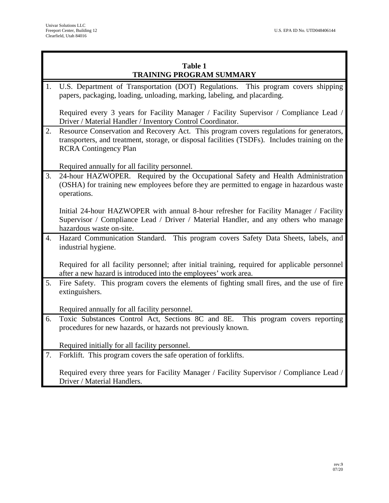## **Table 1 TRAINING PROGRAM SUMMARY**

1. U.S. Department of Transportation (DOT) Regulations. This program covers shipping papers, packaging, loading, unloading, marking, labeling, and placarding.

Required every 3 years for Facility Manager / Facility Supervisor / Compliance Lead / Driver / Material Handler / Inventory Control Coordinator.

2. Resource Conservation and Recovery Act. This program covers regulations for generators, transporters, and treatment, storage, or disposal facilities (TSDFs). Includes training on the RCRA Contingency Plan

Required annually for all facility personnel.

3. 24-hour HAZWOPER. Required by the Occupational Safety and Health Administration (OSHA) for training new employees before they are permitted to engage in hazardous waste operations.

Initial 24-hour HAZWOPER with annual 8-hour refresher for Facility Manager / Facility Supervisor / Compliance Lead / Driver / Material Handler, and any others who manage hazardous waste on-site.

4. Hazard Communication Standard. This program covers Safety Data Sheets, labels, and industrial hygiene.

Required for all facility personnel; after initial training, required for applicable personnel after a new hazard is introduced into the employees' work area.

5. Fire Safety. This program covers the elements of fighting small fires, and the use of fire extinguishers.

Required annually for all facility personnel.

6. Toxic Substances Control Act, Sections 8C and 8E. This program covers reporting procedures for new hazards, or hazards not previously known.

Required initially for all facility personnel.

7. Forklift. This program covers the safe operation of forklifts.

Required every three years for Facility Manager / Facility Supervisor / Compliance Lead / Driver / Material Handlers.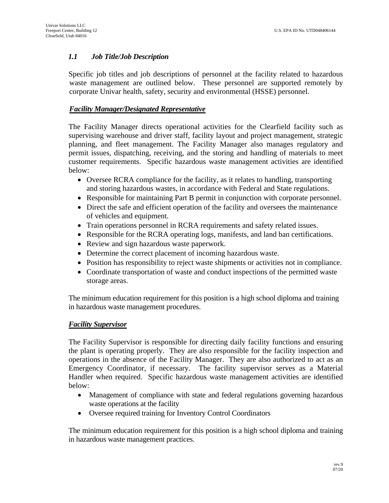### *1.1 Job Title/Job Description*

Specific job titles and job descriptions of personnel at the facility related to hazardous waste management are outlined below. These personnel are supported remotely by corporate Univar health, safety, security and environmental (HSSE) personnel.

#### *Facility Manager/Designated Representative*

The Facility Manager directs operational activities for the Clearfield facility such as supervising warehouse and driver staff, facility layout and project management, strategic planning, and fleet management. The Facility Manager also manages regulatory and permit issues, dispatching, receiving, and the storing and handling of materials to meet customer requirements. Specific hazardous waste management activities are identified below:

- Oversee RCRA compliance for the facility, as it relates to handling, transporting and storing hazardous wastes, in accordance with Federal and State regulations.
- Responsible for maintaining Part B permit in conjunction with corporate personnel.
- Direct the safe and efficient operation of the facility and oversees the maintenance of vehicles and equipment.
- Train operations personnel in RCRA requirements and safety related issues.
- Responsible for the RCRA operating logs, manifests, and land ban certifications.
- Review and sign hazardous waste paperwork.
- Determine the correct placement of incoming hazardous waste.
- Position has responsibility to reject waste shipments or activities not in compliance.
- Coordinate transportation of waste and conduct inspections of the permitted waste storage areas.

The minimum education requirement for this position is a high school diploma and training in hazardous waste management procedures.

#### *Facility Supervisor*

The Facility Supervisor is responsible for directing daily facility functions and ensuring the plant is operating properly. They are also responsible for the facility inspection and operations in the absence of the Facility Manager. They are also authorized to act as an Emergency Coordinator, if necessary. The facility supervisor serves as a Material Handler when required. Specific hazardous waste management activities are identified below:

- Management of compliance with state and federal regulations governing hazardous waste operations at the facility
- Oversee required training for Inventory Control Coordinators

The minimum education requirement for this position is a high school diploma and training in hazardous waste management practices.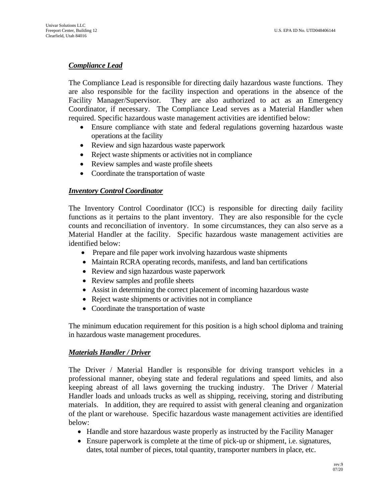#### *Compliance Lead*

The Compliance Lead is responsible for directing daily hazardous waste functions. They are also responsible for the facility inspection and operations in the absence of the Facility Manager/Supervisor. They are also authorized to act as an Emergency Coordinator, if necessary. The Compliance Lead serves as a Material Handler when required. Specific hazardous waste management activities are identified below:

- Ensure compliance with state and federal regulations governing hazardous waste operations at the facility
- Review and sign hazardous waste paperwork
- Reject waste shipments or activities not in compliance
- Review samples and waste profile sheets
- Coordinate the transportation of waste

#### *Inventory Control Coordinator*

The Inventory Control Coordinator (ICC) is responsible for directing daily facility functions as it pertains to the plant inventory. They are also responsible for the cycle counts and reconciliation of inventory. In some circumstances, they can also serve as a Material Handler at the facility. Specific hazardous waste management activities are identified below:

- Prepare and file paper work involving hazardous waste shipments
- Maintain RCRA operating records, manifests, and land ban certifications
- Review and sign hazardous waste paperwork
- Review samples and profile sheets
- Assist in determining the correct placement of incoming hazardous waste
- Reject waste shipments or activities not in compliance
- Coordinate the transportation of waste

The minimum education requirement for this position is a high school diploma and training in hazardous waste management procedures.

#### *Materials Handler / Driver*

The Driver / Material Handler is responsible for driving transport vehicles in a professional manner, obeying state and federal regulations and speed limits, and also keeping abreast of all laws governing the trucking industry. The Driver / Material Handler loads and unloads trucks as well as shipping, receiving, storing and distributing materials. In addition, they are required to assist with general cleaning and organization of the plant or warehouse. Specific hazardous waste management activities are identified below:

- Handle and store hazardous waste properly as instructed by the Facility Manager
- Ensure paperwork is complete at the time of pick-up or shipment, i.e. signatures, dates, total number of pieces, total quantity, transporter numbers in place, etc.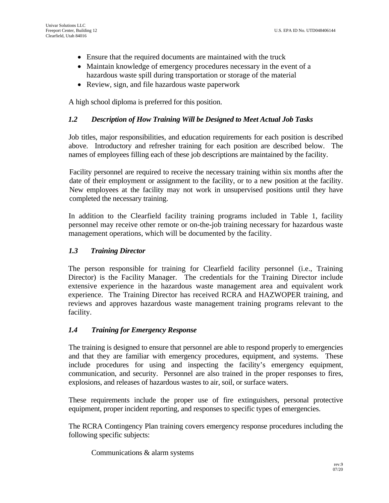- Ensure that the required documents are maintained with the truck
- Maintain knowledge of emergency procedures necessary in the event of a hazardous waste spill during transportation or storage of the material
- Review, sign, and file hazardous waste paperwork

A high school diploma is preferred for this position.

#### *1.2 Description of How Training Will be Designed to Meet Actual Job Tasks*

Job titles, major responsibilities, and education requirements for each position is described above. Introductory and refresher training for each position are described below. The names of employees filling each of these job descriptions are maintained by the facility.

Facility personnel are required to receive the necessary training within six months after the date of their employment or assignment to the facility, or to a new position at the facility. New employees at the facility may not work in unsupervised positions until they have completed the necessary training.

In addition to the Clearfield facility training programs included in Table 1, facility personnel may receive other remote or on-the-job training necessary for hazardous waste management operations, which will be documented by the facility.

#### *1.3 Training Director*

The person responsible for training for Clearfield facility personnel (i.e., Training Director) is the Facility Manager. The credentials for the Training Director include extensive experience in the hazardous waste management area and equivalent work experience. The Training Director has received RCRA and HAZWOPER training, and reviews and approves hazardous waste management training programs relevant to the facility.

#### *1.4 Training for Emergency Response*

The training is designed to ensure that personnel are able to respond properly to emergencies and that they are familiar with emergency procedures, equipment, and systems. These include procedures for using and inspecting the facility's emergency equipment, communication, and security. Personnel are also trained in the proper responses to fires, explosions, and releases of hazardous wastes to air, soil, or surface waters.

These requirements include the proper use of fire extinguishers, personal protective equipment, proper incident reporting, and responses to specific types of emergencies.

The RCRA Contingency Plan training covers emergency response procedures including the following specific subjects:

Communications & alarm systems